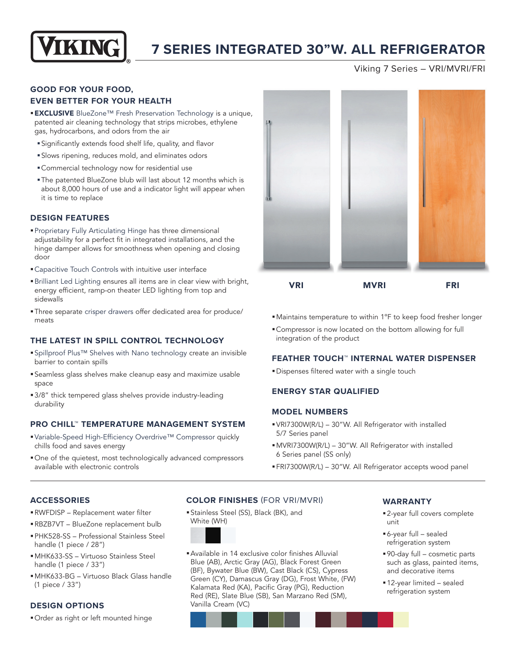

## **7 SERIES INTEGRATED 30"W. ALL REFRIGERATOR**

Viking 7 Series – VRI/MVRI/FRI

### **GOOD FOR YOUR FOOD, EVEN BETTER FOR YOUR HEALTH**

- **EXCLUSIVE** BlueZone™ Fresh Preservation Technology is a unique, patented air cleaning technology that strips microbes, ethylene gas, hydrocarbons, and odors from the air
	- §Significantly extends food shelf life, quality, and flavor
	- §Slows ripening, reduces mold, and eliminates odors
	- §Commercial technology now for residential use
	- §The patented BlueZone blub will last about 12 months which is about 8,000 hours of use and a indicator light will appear when it is time to replace

#### **DESIGN FEATURES**

- §Proprietary Fully Articulating Hinge has three dimensional adjustability for a perfect fit in integrated installations, and the hinge damper allows for smoothness when opening and closing door
- Capacitive Touch Controls with intuitive user interface
- §Brilliant Led Lighting ensures all items are in clear view with bright, energy efficient, ramp-on theater LED lighting from top and sidewalls
- §Three separate crisper drawers offer dedicated area for produce/ meats

#### **THE LATEST IN SPILL CONTROL TECHNOLOGY**

- ■Spillproof Plus™ Shelves with Nano technology create an invisible barrier to contain spills
- §Seamless glass shelves make cleanup easy and maximize usable space
- 3/8" thick tempered glass shelves provide industry-leading durability

#### **PRO CHILL™ TEMPERATURE MANAGEMENT SYSTEM**

- Variable-Speed High-Efficiency Overdrive™ Compressor quickly chills food and saves energy
- §One of the quietest, most technologically advanced compressors available with electronic controls



- Maintains temperature to within 1°F to keep food fresher longer
- §Compressor is now located on the bottom allowing for full integration of the product

#### **FEATHER TOUCH™ INTERNAL WATER DISPENSER**

**• Dispenses filtered water with a single touch** 

#### **ENERGY STAR QUALIFIED**

#### **MODEL NUMBERS**

- §VRI7300W(R/L) 30"W. All Refrigerator with installed 5/7 Series panel
- §MVRI7300W(R/L) 30"W. All Refrigerator with installed 6 Series panel (SS only)
- §FRI7300W(R/L) 30"W. All Refrigerator accepts wood panel

#### **ACCESSORIES**

- §RWFDISP Replacement water filter
- §RBZB7VT BlueZone replacement bulb §PHK528-SS – Professional Stainless Steel
- handle (1 piece / 28")
- §MHK633-SS Virtuoso Stainless Steel handle (1 piece / 33")
- §MHK633-BG Virtuoso Black Glass handle (1 piece / 33")

#### **DESIGN OPTIONS**

§Order as right or left mounted hinge

#### **COLOR FINISHES** (FOR VRI/MVRI)

§Stainless Steel (SS), Black (BK), and White (WH)



§Available in 14 exclusive color finishes Alluvial Blue (AB), Arctic Gray (AG), Black Forest Green (BF), Bywater Blue (BW), Cast Black (CS), Cypress Green (CY), Damascus Gray (DG), Frost White, (FW) Kalamata Red (KA), Pacific Gray (PG), Reduction Red (RE), Slate Blue (SB), San Marzano Red (SM), Vanilla Cream (VC)

#### **WARRANTY**

- 2-year full covers complete unit
- §6-year full sealed refrigeration system
- §90-day full cosmetic parts such as glass, painted items, and decorative items
- §12-year limited sealed refrigeration system